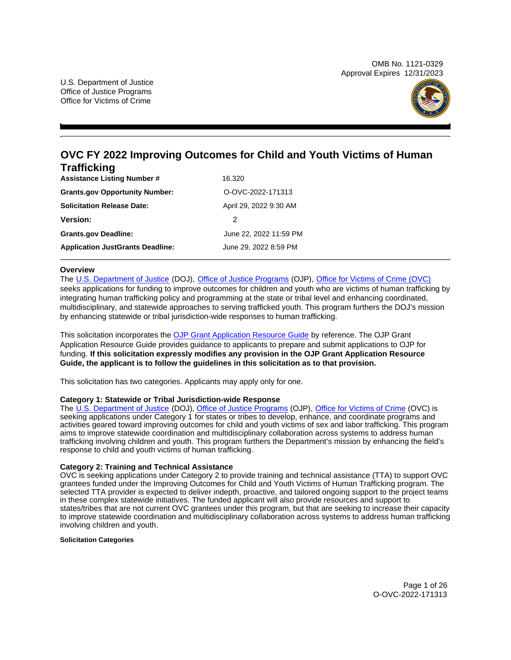OMB No. 1121-0329 Approval Expires 12/31/2023



## **OVC FY 2022 Improving Outcomes for Child and Youth Victims of Human Trafficking**

| <b>Assistance Listing Number #</b>      | 16.320                 |  |  |
|-----------------------------------------|------------------------|--|--|
| <b>Grants.gov Opportunity Number:</b>   | O-OVC-2022-171313      |  |  |
| <b>Solicitation Release Date:</b>       | April 29, 2022 9:30 AM |  |  |
| <b>Version:</b>                         | 2                      |  |  |
| <b>Grants.gov Deadline:</b>             | June 22, 2022 11:59 PM |  |  |
| <b>Application JustGrants Deadline:</b> | June 29, 2022 8:59 PM  |  |  |

## **Overview**

The [U.S. Department of Justice](https://www.usdoj.gov/) (DOJ), [Office of Justice Programs](https://www.ojp.usdoj.gov/) (OJP), [Office for Victims of Crime \(OVC\)](http://www.ovc.gov/)  seeks applications for funding to improve outcomes for children and youth who are victims of human trafficking by

integrating human trafficking policy and programming at the state or tribal level and enhancing coordinated, multidisciplinary, and statewide approaches to serving trafficked youth. This program furthers the DOJ's mission by enhancing statewide or tribal jurisdiction-wide responses to human trafficking.

This solicitation incorporates the [OJP Grant Application Resource Guide](https://www.ojp.gov/funding/Apply/Resources/Grant-App-Resource-Guide.htm) by reference. The OJP Grant Application Resource Guide provides guidance to applicants to prepare and submit applications to OJP for funding. **If this solicitation expressly modifies any provision in the OJP Grant Application Resource Guide, the applicant is to follow the guidelines in this solicitation as to that provision.** 

This solicitation has two categories. Applicants may apply only for one.

## **Category 1: Statewide or Tribal Jurisdiction-wide Response**

The [U.S. Department of Justice](http://www.usdoj.gov) (DOJ), [Office of Justice Programs](http://www.ojp.gov) (OJP), [Office for Victims of Crime](https://ovc.ojp.gov) (OVC) is seeking applications under Category 1 for states or tribes to develop, enhance, and coordinate programs and activities geared toward improving outcomes for child and youth victims of sex and labor trafficking. This program aims to improve statewide coordination and multidisciplinary collaboration across systems to address human trafficking involving children and youth. This program furthers the Department's mission by enhancing the field's response to child and youth victims of human trafficking.

## **Category 2: Training and Technical Assistance**

OVC is seeking applications under Category 2 to provide training and technical assistance (TTA) to support OVC grantees funded under the Improving Outcomes for Child and Youth Victims of Human Trafficking program. The selected TTA provider is expected to deliver indepth, proactive, and tailored ongoing support to the project teams in these complex statewide initiatives. The funded applicant will also provide resources and support to states/tribes that are not current OVC grantees under this program, but that are seeking to increase their capacity to improve statewide coordination and multidisciplinary collaboration across systems to address human trafficking involving children and youth.

## **Solicitation Categories**

Page 1 of 26 O-OVC-2022-171313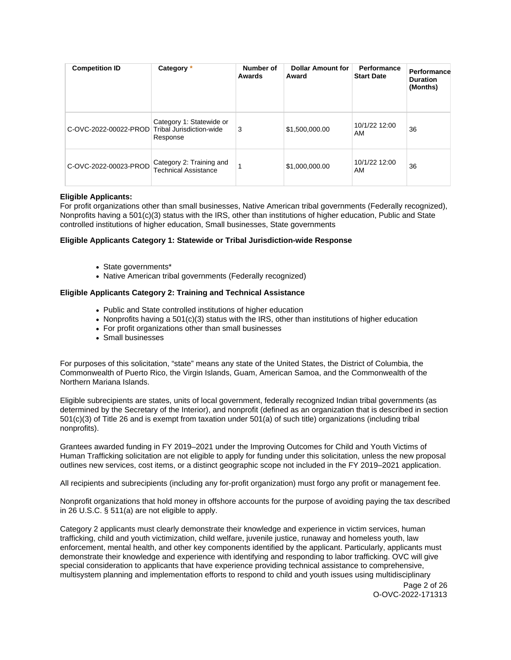| <b>Competition ID</b>                          | Category *                                       | Number of<br>Awards | <b>Dollar Amount for</b><br>Award | Performance<br><b>Start Date</b> | Performance<br><b>Duration</b><br>(Months) |
|------------------------------------------------|--------------------------------------------------|---------------------|-----------------------------------|----------------------------------|--------------------------------------------|
| C-OVC-2022-00022-PROD Tribal Jurisdiction-wide | Category 1: Statewide or<br>Response             | 3                   | \$1,500,000.00                    | 10/1/22 12:00<br>AM              | 36                                         |
| C-OVC-2022-00023-PROD                          | Category 2: Training and<br>Technical Assistance |                     | \$1,000,000.00                    | 10/1/22 12:00<br>AM              | 36                                         |

## **Eligible Applicants:**

For profit organizations other than small businesses, Native American tribal governments (Federally recognized), Nonprofits having a 501(c)(3) status with the IRS, other than institutions of higher education, Public and State controlled institutions of higher education, Small businesses, State governments

## **Eligible Applicants Category 1: Statewide or Tribal Jurisdiction-wide Response**

- State governments\*
- Native American tribal governments (Federally recognized)

## **Eligible Applicants Category 2: Training and Technical Assistance**

- Public and State controlled institutions of higher education
- Nonprofits having a  $501(c)(3)$  status with the IRS, other than institutions of higher education
- For profit organizations other than small businesses
- Small businesses

For purposes of this solicitation, "state" means any state of the United States, the District of Columbia, the Commonwealth of Puerto Rico, the Virgin Islands, Guam, American Samoa, and the Commonwealth of the Northern Mariana Islands.

Eligible subrecipients are states, units of local government, federally recognized Indian tribal governments (as determined by the Secretary of the Interior), and nonprofit (defined as an organization that is described in section 501(c)(3) of Title 26 and is exempt from taxation under 501(a) of such title) organizations (including tribal nonprofits).

Grantees awarded funding in FY 2019–2021 under the Improving Outcomes for Child and Youth Victims of Human Trafficking solicitation are not eligible to apply for funding under this solicitation, unless the new proposal outlines new services, cost items, or a distinct geographic scope not included in the FY 2019–2021 application.

All recipients and subrecipients (including any for-profit organization) must forgo any profit or management fee.

Nonprofit organizations that hold money in offshore accounts for the purpose of avoiding paying the tax described in 26 U.S.C. § 511(a) are not eligible to apply.

Category 2 applicants must clearly demonstrate their knowledge and experience in victim services, human trafficking, child and youth victimization, child welfare, juvenile justice, runaway and homeless youth, law enforcement, mental health, and other key components identified by the applicant. Particularly, applicants must demonstrate their knowledge and experience with identifying and responding to labor trafficking. OVC will give special consideration to applicants that have experience providing technical assistance to comprehensive, multisystem planning and implementation efforts to respond to child and youth issues using multidisciplinary

Page 2 of 26 O-OVC-2022-171313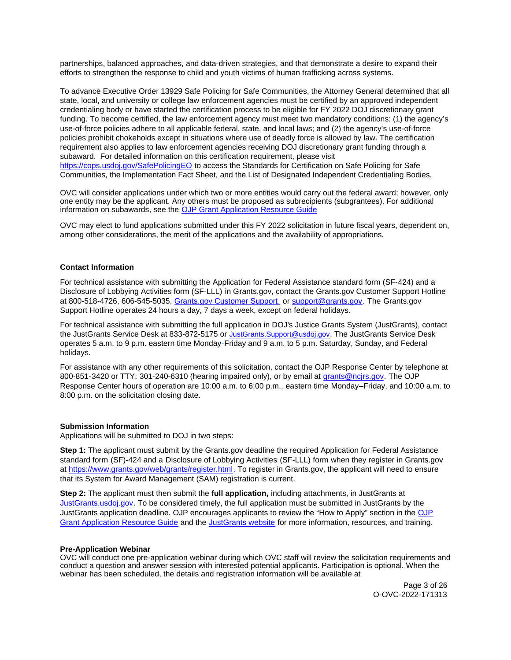<span id="page-2-0"></span>partnerships, balanced approaches, and data-driven strategies, and that demonstrate a desire to expand their efforts to strengthen the response to child and youth victims of human trafficking across systems.

To advance Executive Order 13929 Safe Policing for Safe Communities, the Attorney General determined that all state, local, and university or college law enforcement agencies must be certified by an approved independent credentialing body or have started the certification process to be eligible for FY 2022 DOJ discretionary grant funding. To become certified, the law enforcement agency must meet two mandatory conditions: (1) the agency's use-of-force policies adhere to all applicable federal, state, and local laws; and (2) the agency's use-of-force policies prohibit chokeholds except in situations where use of deadly force is allowed by law. The certification requirement also applies to law enforcement agencies receiving DOJ discretionary grant funding through a subaward. For detailed information on this certification requirement, please visit [https://cops.usdoj.gov/SafePolicingEO](https://cops.usdoj.gov/SafePolicingEO%20) to access the Standards for Certification on Safe Policing for Safe Communities, the Implementation Fact Sheet, and the List of Designated Independent Credentialing Bodies.

OVC will consider applications under which two or more entities would carry out the federal award; however, only one entity may be the applicant. Any others must be proposed as subrecipients (subgrantees). For additional information on subawards, see the [OJP Grant Application Resource Guide](https://www.ojp.gov/funding/Apply/Resources/Grant-App-Resource-Guide.htm) 

OVC may elect to fund applications submitted under this FY 2022 solicitation in future fiscal years, dependent on, among other considerations, the merit of the applications and the availability of appropriations.

## **Contact Information**

For technical assistance with submitting the Application for Federal Assistance standard form (SF-424) and a Disclosure of Lobbying Activities form (SF-LLL) in [Grants.gov](https://Grants.gov), contact the [Grants.gov](https://Grants.gov) Customer Support Hotline at 800-518-4726, 606-545-5035, [Grants.gov Customer Support,](https://www.grants.gov/web/grants/support.html) or [support@grants.gov.](mailto:support@grants.gov) The [Grants.gov](https://Grants.gov) Support Hotline operates 24 hours a day, 7 days a week, except on federal holidays.

For technical assistance with submitting the full application in DOJ's Justice Grants System (JustGrants), contact the JustGrants Service Desk at 833-872-5175 or [JustGrants.Support@usdoj.gov](mailto:JustGrants.Support@usdoj.gov). The JustGrants Service Desk operates 5 a.m. to 9 p.m. eastern time Monday-Friday and 9 a.m. to 5 p.m. Saturday, Sunday, and Federal holidays.

For assistance with any other requirements of this solicitation, contact the OJP Response Center by telephone at 800-851-3420 or TTY: 301-240-6310 (hearing impaired only), or by email at [grants@ncjrs.gov.](mailto:grants@ncjrs.gov) The OJP Response Center hours of operation are 10:00 a.m. to 6:00 p.m., eastern time Monday–Friday, and 10:00 a.m. to 8:00 p.m. on the solicitation closing date.

#### **Submission Information**

Applications will be submitted to DOJ in two steps:

**Step 1:** The applicant must submit by the [Grants.gov](https://Grants.gov) deadline the required Application for Federal Assistance standard form (SF)-424 and a Disclosure of Lobbying Activities (SF-LLL) form when they register in [Grants.gov](https://Grants.gov) at [https://www.grants.gov/web/grants/register.html.](https://www.grants.gov/web/grants/register.html) To register in [Grants.gov](https://Grants.gov), the applicant will need to ensure that its System for Award Management (SAM) registration is current.

**Step 2:** The applicant must then submit the **full application,** including attachments, in JustGrants at [JustGrants.usdoj.gov.](https://justicegrants.usdoj.gov/) To be considered timely, the full application must be submitted in JustGrants by the JustGrants application deadline. OJP encourages applicants to review the "How to Apply" section in the [OJP](https://www.ojp.gov/funding/apply/ojp-grant-application-resource-guide#apply) [Grant Application Resource Guide](https://www.ojp.gov/funding/apply/ojp-grant-application-resource-guide#apply) and the [JustGrants website](https://justicegrants.usdoj.gov/news) for more information, resources, and training.

## **Pre-Application Webinar**

OVC will conduct one pre-application webinar during which OVC staff will review the solicitation requirements and conduct a question and answer session with interested potential applicants. Participation is optional. When the webinar has been scheduled, the details and registration information will be available at

> Page 3 of 26 O-OVC-2022-171313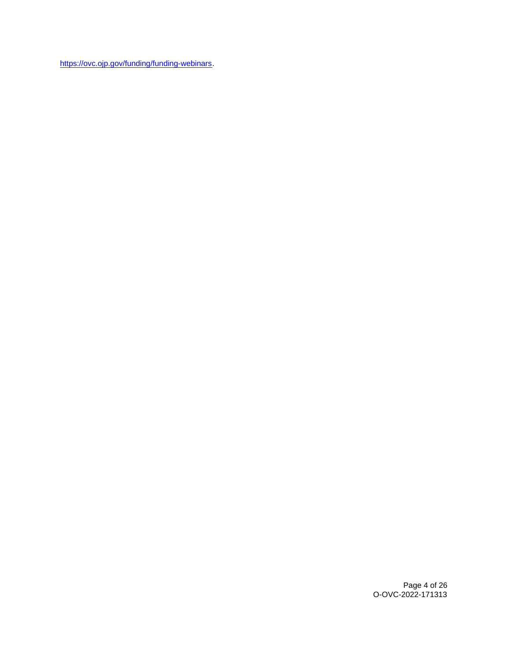[https://ovc.ojp.gov/funding/funding-webinars.](https://ovc.ojp.gov/funding/funding-webinars)

Page 4 of 26 O-OVC-2022-171313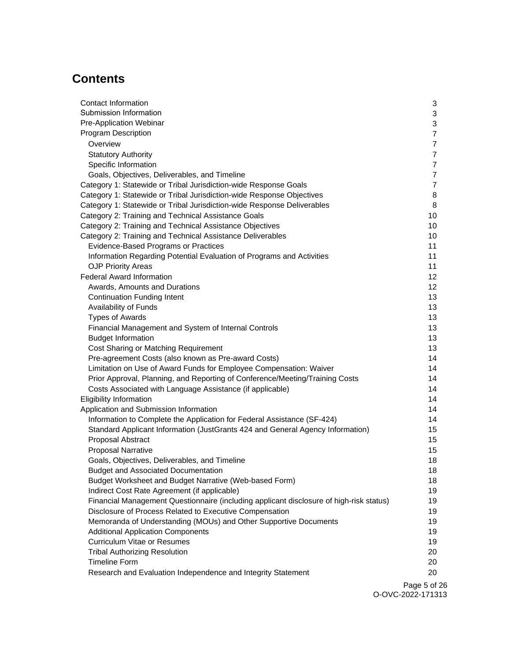## **Contents**

| <b>Contact Information</b>                                                              | 3               |
|-----------------------------------------------------------------------------------------|-----------------|
| Submission Information                                                                  | 3               |
| Pre-Application Webinar                                                                 | 3               |
| <b>Program Description</b>                                                              | $\overline{7}$  |
| Overview                                                                                | $\overline{7}$  |
| <b>Statutory Authority</b>                                                              | $\overline{7}$  |
| Specific Information                                                                    | $\overline{7}$  |
| Goals, Objectives, Deliverables, and Timeline                                           | $\overline{7}$  |
| Category 1: Statewide or Tribal Jurisdiction-wide Response Goals                        | $\overline{7}$  |
| Category 1: Statewide or Tribal Jurisdiction-wide Response Objectives                   | 8               |
| Category 1: Statewide or Tribal Jurisdiction-wide Response Deliverables                 | 8               |
| Category 2: Training and Technical Assistance Goals                                     | 10              |
| Category 2: Training and Technical Assistance Objectives                                | 10              |
| Category 2: Training and Technical Assistance Deliverables                              | 10              |
| Evidence-Based Programs or Practices                                                    | 11              |
| Information Regarding Potential Evaluation of Programs and Activities                   | 11              |
| <b>OJP Priority Areas</b>                                                               | 11              |
| <b>Federal Award Information</b>                                                        | 12              |
| Awards, Amounts and Durations                                                           | 12 <sup>2</sup> |
| <b>Continuation Funding Intent</b>                                                      | 13              |
| Availability of Funds                                                                   | 13              |
| <b>Types of Awards</b>                                                                  | 13              |
| Financial Management and System of Internal Controls                                    | 13              |
| <b>Budget Information</b>                                                               | 13              |
| Cost Sharing or Matching Requirement                                                    | 13              |
| Pre-agreement Costs (also known as Pre-award Costs)                                     | 14              |
| Limitation on Use of Award Funds for Employee Compensation: Waiver                      | 14              |
| Prior Approval, Planning, and Reporting of Conference/Meeting/Training Costs            | 14              |
| Costs Associated with Language Assistance (if applicable)                               | 14              |
| <b>Eligibility Information</b>                                                          | 14              |
| Application and Submission Information                                                  | 14              |
| Information to Complete the Application for Federal Assistance (SF-424)                 | 14              |
| Standard Applicant Information (JustGrants 424 and General Agency Information)          | 15              |
| Proposal Abstract                                                                       | 15              |
| <b>Proposal Narrative</b>                                                               | 15              |
| Goals, Objectives, Deliverables, and Timeline                                           | 18              |
| <b>Budget and Associated Documentation</b>                                              | 18              |
| Budget Worksheet and Budget Narrative (Web-based Form)                                  | 18              |
| Indirect Cost Rate Agreement (if applicable)                                            | 19              |
| Financial Management Questionnaire (including applicant disclosure of high-risk status) | 19              |
| Disclosure of Process Related to Executive Compensation                                 | 19              |
| Memoranda of Understanding (MOUs) and Other Supportive Documents                        | 19              |
| <b>Additional Application Components</b>                                                | 19              |
| <b>Curriculum Vitae or Resumes</b>                                                      | 19              |
| <b>Tribal Authorizing Resolution</b>                                                    | 20              |
| <b>Timeline Form</b>                                                                    | 20              |
| Research and Evaluation Independence and Integrity Statement                            | 20              |
|                                                                                         |                 |

Page 5 of 26 O-OVC-2022-171313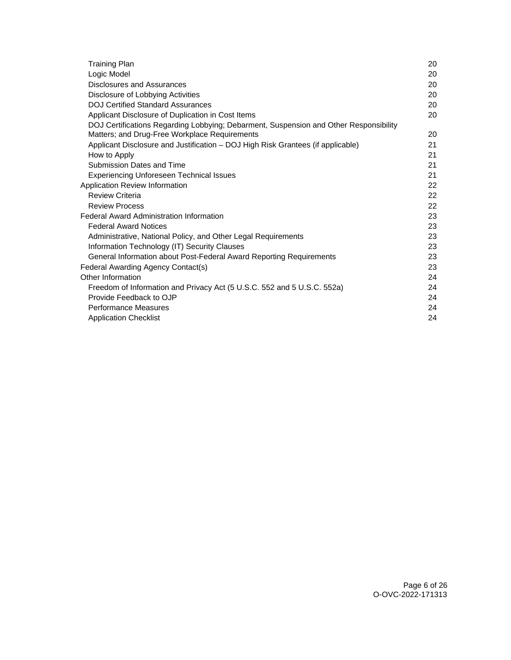| <b>Training Plan</b>                                                                                                                   | 20 |
|----------------------------------------------------------------------------------------------------------------------------------------|----|
| Logic Model                                                                                                                            | 20 |
| Disclosures and Assurances                                                                                                             | 20 |
| Disclosure of Lobbying Activities                                                                                                      | 20 |
| <b>DOJ Certified Standard Assurances</b>                                                                                               | 20 |
| Applicant Disclosure of Duplication in Cost Items                                                                                      | 20 |
| DOJ Certifications Regarding Lobbying; Debarment, Suspension and Other Responsibility<br>Matters; and Drug-Free Workplace Requirements | 20 |
| Applicant Disclosure and Justification - DOJ High Risk Grantees (if applicable)                                                        | 21 |
| How to Apply                                                                                                                           | 21 |
| Submission Dates and Time                                                                                                              | 21 |
| <b>Experiencing Unforeseen Technical Issues</b>                                                                                        | 21 |
| Application Review Information                                                                                                         | 22 |
| <b>Review Criteria</b>                                                                                                                 | 22 |
| <b>Review Process</b>                                                                                                                  | 22 |
| <b>Federal Award Administration Information</b>                                                                                        | 23 |
| <b>Federal Award Notices</b>                                                                                                           | 23 |
| Administrative, National Policy, and Other Legal Requirements                                                                          | 23 |
| Information Technology (IT) Security Clauses                                                                                           | 23 |
| General Information about Post-Federal Award Reporting Requirements                                                                    | 23 |
| Federal Awarding Agency Contact(s)                                                                                                     | 23 |
| Other Information                                                                                                                      | 24 |
| Freedom of Information and Privacy Act (5 U.S.C. 552 and 5 U.S.C. 552a)                                                                | 24 |
| Provide Feedback to OJP                                                                                                                | 24 |
| <b>Performance Measures</b>                                                                                                            | 24 |
| <b>Application Checklist</b>                                                                                                           | 24 |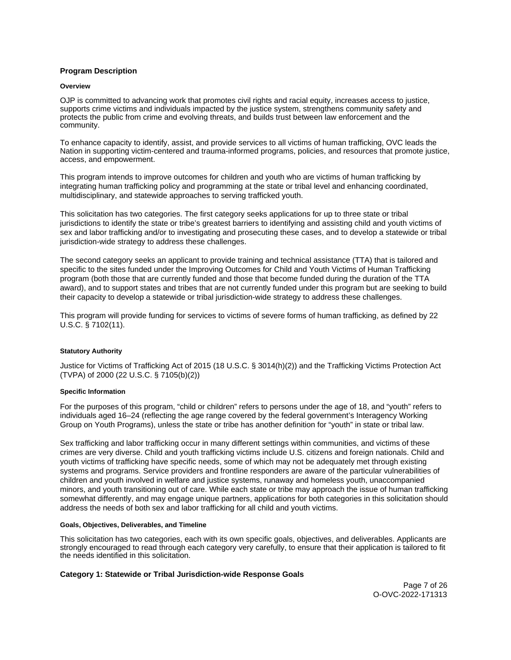## <span id="page-6-0"></span>**Program Description**

#### **Overview**

OJP is committed to advancing work that promotes civil rights and racial equity, increases access to justice, supports crime victims and individuals impacted by the justice system, strengthens community safety and protects the public from crime and evolving threats, and builds trust between law enforcement and the community.

To enhance capacity to identify, assist, and provide services to all victims of human trafficking, OVC leads the Nation in supporting victim-centered and trauma-informed programs, policies, and resources that promote justice, access, and empowerment.

This program intends to improve outcomes for children and youth who are victims of human trafficking by integrating human trafficking policy and programming at the state or tribal level and enhancing coordinated, multidisciplinary, and statewide approaches to serving trafficked youth.

This solicitation has two categories. The first category seeks applications for up to three state or tribal jurisdictions to identify the state or tribe's greatest barriers to identifying and assisting child and youth victims of sex and labor trafficking and/or to investigating and prosecuting these cases, and to develop a statewide or tribal jurisdiction-wide strategy to address these challenges.

The second category seeks an applicant to provide training and technical assistance (TTA) that is tailored and specific to the sites funded under the Improving Outcomes for Child and Youth Victims of Human Trafficking program (both those that are currently funded and those that become funded during the duration of the TTA award), and to support states and tribes that are not currently funded under this program but are seeking to build their capacity to develop a statewide or tribal jurisdiction-wide strategy to address these challenges.

This program will provide funding for services to victims of severe forms of human trafficking, as defined by 22 U.S.C. § 7102(11).

## **Statutory Authority**

Justice for Victims of Trafficking Act of 2015 (18 U.S.C. § 3014(h)(2)) and the Trafficking Victims Protection Act (TVPA) of 2000 (22 U.S.C. § 7105(b)(2))

#### **Specific Information**

For the purposes of this program, "child or children" refers to persons under the age of 18, and "youth" refers to individuals aged 16–24 (reflecting the age range covered by the federal government's Interagency Working Group on Youth Programs), unless the state or tribe has another definition for "youth" in state or tribal law.

Sex trafficking and labor trafficking occur in many different settings within communities, and victims of these crimes are very diverse. Child and youth trafficking victims include U.S. citizens and foreign nationals. Child and youth victims of trafficking have specific needs, some of which may not be adequately met through existing systems and programs. Service providers and frontline responders are aware of the particular vulnerabilities of children and youth involved in welfare and justice systems, runaway and homeless youth, unaccompanied minors, and youth transitioning out of care. While each state or tribe may approach the issue of human trafficking somewhat differently, and may engage unique partners, applications for both categories in this solicitation should address the needs of both sex and labor trafficking for all child and youth victims.

#### **Goals, Objectives, Deliverables, and Timeline**

This solicitation has two categories, each with its own specific goals, objectives, and deliverables. Applicants are strongly encouraged to read through each category very carefully, to ensure that their application is tailored to fit the needs identified in this solicitation.

## **Category 1: Statewide or Tribal Jurisdiction-wide Response Goals**

Page 7 of 26 O-OVC-2022-171313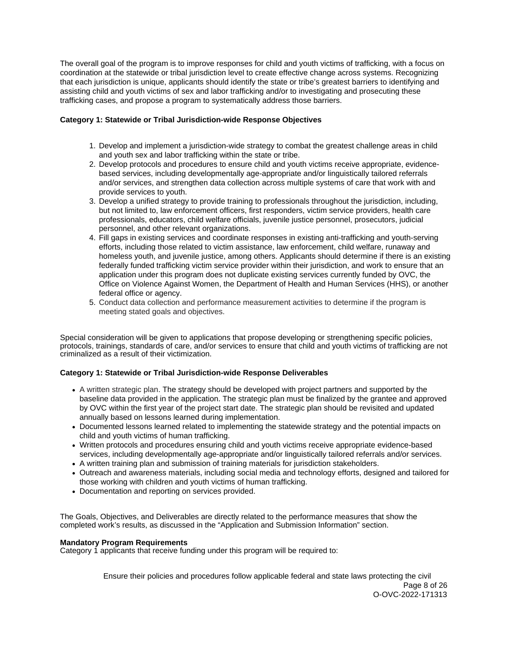<span id="page-7-0"></span>The overall goal of the program is to improve responses for child and youth victims of trafficking, with a focus on coordination at the statewide or tribal jurisdiction level to create effective change across systems. Recognizing that each jurisdiction is unique, applicants should identify the state or tribe's greatest barriers to identifying and assisting child and youth victims of sex and labor trafficking and/or to investigating and prosecuting these trafficking cases, and propose a program to systematically address those barriers.

## **Category 1: Statewide or Tribal Jurisdiction-wide Response Objectives**

- 1. Develop and implement a jurisdiction-wide strategy to combat the greatest challenge areas in child and youth sex and labor trafficking within the state or tribe.
- 2. Develop protocols and procedures to ensure child and youth victims receive appropriate, evidencebased services, including developmentally age-appropriate and/or linguistically tailored referrals and/or services, and strengthen data collection across multiple systems of care that work with and provide services to youth.
- 3. Develop a unified strategy to provide training to professionals throughout the jurisdiction, including, but not limited to, law enforcement officers, first responders, victim service providers, health care professionals, educators, child welfare officials, juvenile justice personnel, prosecutors, judicial personnel, and other relevant organizations.
- 4. Fill gaps in existing services and coordinate responses in existing anti-trafficking and youth-serving efforts, including those related to victim assistance, law enforcement, child welfare, runaway and homeless youth, and juvenile justice, among others. Applicants should determine if there is an existing federally funded trafficking victim service provider within their jurisdiction, and work to ensure that an application under this program does not duplicate existing services currently funded by OVC, the Office on Violence Against Women, the Department of Health and Human Services (HHS), or another federal office or agency.
- 5. Conduct data collection and performance measurement activities to determine if the program is meeting stated goals and objectives.

Special consideration will be given to applications that propose developing or strengthening specific policies. protocols, trainings, standards of care, and/or services to ensure that child and youth victims of trafficking are not criminalized as a result of their victimization.

## **Category 1: Statewide or Tribal Jurisdiction-wide Response Deliverables**

- A written strategic plan. The strategy should be developed with project partners and supported by the baseline data provided in the application. The strategic plan must be finalized by the grantee and approved by OVC within the first year of the project start date. The strategic plan should be revisited and updated annually based on lessons learned during implementation.
- Documented lessons learned related to implementing the statewide strategy and the potential impacts on child and youth victims of human trafficking.
- Written protocols and procedures ensuring child and youth victims receive appropriate evidence-based services, including developmentally age-appropriate and/or linguistically tailored referrals and/or services.
- A written training plan and submission of training materials for jurisdiction stakeholders.
- Outreach and awareness materials, including social media and technology efforts, designed and tailored for those working with children and youth victims of human trafficking.
- Documentation and reporting on services provided.

The Goals, Objectives, and Deliverables are directly related to the performance measures that show the completed work's results, as discussed in the "Application and Submission Information" section.

## **Mandatory Program Requirements**

Category 1 applicants that receive funding under this program will be required to:

Ensure their policies and procedures follow applicable federal and state laws protecting the civil Page 8 of 26 O-OVC-2022-171313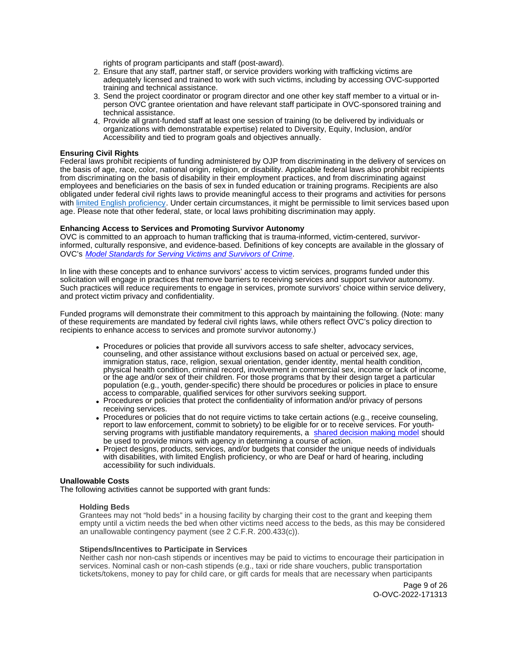rights of program participants and staff (post-award).

- 2. Ensure that any staff, partner staff, or service providers working with trafficking victims are adequately licensed and trained to work with such victims, including by accessing OVC-supported training and technical assistance.
- 3. Send the project coordinator or program director and one other key staff member to a virtual or inperson OVC grantee orientation and have relevant staff participate in OVC-sponsored training and technical assistance.
- 4. Provide all grant-funded staff at least one session of training (to be delivered by individuals or organizations with demonstratable expertise) related to Diversity, Equity, Inclusion, and/or Accessibility and tied to program goals and objectives annually.

## **Ensuring Civil Rights**

Federal laws prohibit recipients of funding administered by OJP from discriminating in the delivery of services on the basis of age, race, color, national origin, religion, or disability. Applicable federal laws also prohibit recipients from discriminating on the basis of disability in their employment practices, and from discriminating against employees and beneficiaries on the basis of sex in funded education or training programs. Recipients are also obligated under federal civil rights laws to provide meaningful access to their programs and activities for persons with [limited English proficiency.](https://www.ojp.gov/program/civil-rights/limited-english-proficient-lep) Under certain circumstances, it might be permissible to limit services based upon age. Please note that other federal, state, or local laws prohibiting discrimination may apply.

## **Enhancing Access to Services and Promoting Survivor Autonomy**

OVC is committed to an approach to human trafficking that is trauma-informed, victim-centered, survivorinformed, culturally responsive, and evidence-based. Definitions of key concepts are available in the glossary of OVC's [Model Standards for Serving Victims and Survivors of Crime](https://ovc.ojp.gov/sites/g/files/xyckuh226/files/model-standards/6/glossary.html).

In line with these concepts and to enhance survivors' access to victim services, programs funded under this solicitation will engage in practices that remove barriers to receiving services and support survivor autonomy. Such practices will reduce requirements to engage in services, promote survivors' choice within service delivery, and protect victim privacy and confidentiality.

Funded programs will demonstrate their commitment to this approach by maintaining the following. (Note: many of these requirements are mandated by federal civil rights laws, while others reflect OVC's policy direction to recipients to enhance access to services and promote survivor autonomy.)

- Procedures or policies that provide all survivors access to safe shelter, advocacy services, counseling, and other assistance without exclusions based on actual or perceived sex, age, immigration status, race, religion, sexual orientation, gender identity, mental health condition, physical health condition, criminal record, involvement in commercial sex, income or lack of income, or the age and/or sex of their children. For those programs that by their design target a particular population (e.g., youth, gender-specific) there should be procedures or policies in place to ensure access to comparable, qualified services for other survivors seeking support.
- Procedures or policies that protect the confidentiality of information and/or privacy of persons receiving services.
- Procedures or policies that do not require victims to take certain actions (e.g., receive counseling, report to law enforcement, commit to sobriety) to be eligible for or to receive services. For youthserving programs with justifiable mandatory requirements, a [shared decision making model](https://www.acf.hhs.gov/sites/default/files/documents/fysb/acf_issuebrief_htprevention_10202020_final_508.pdf) should be used to provide minors with agency in determining a course of action.
- Project designs, products, services, and/or budgets that consider the unique needs of individuals with disabilities, with limited English proficiency, or who are Deaf or hard of hearing, including accessibility for such individuals.

## **Unallowable Costs**

The following activities cannot be supported with grant funds:

#### **Holding Beds**

Grantees may not "hold beds" in a housing facility by charging their cost to the grant and keeping them empty until a victim needs the bed when other victims need access to the beds, as this may be considered an unallowable contingency payment (see 2 C.F.R. 200.433(c)).

## **Stipends/Incentives to Participate in Services**

Neither cash nor non-cash stipends or incentives may be paid to victims to encourage their participation in services. Nominal cash or non-cash stipends (e.g., taxi or ride share vouchers, public transportation tickets/tokens, money to pay for child care, or gift cards for meals that are necessary when participants

> Page 9 of 26 O-OVC-2022-171313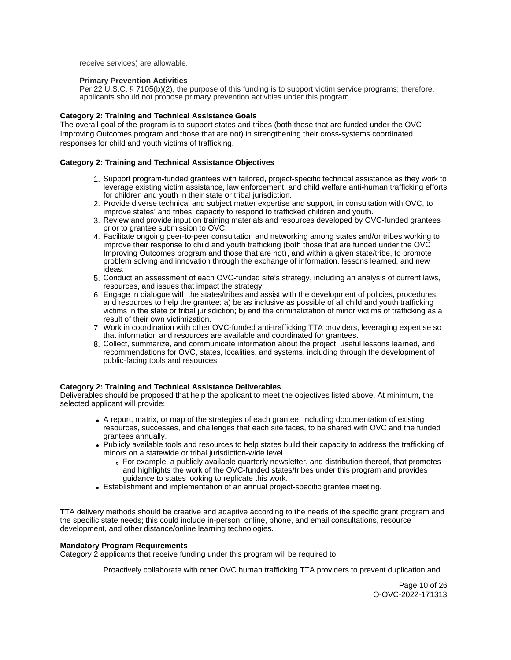<span id="page-9-0"></span>receive services) are allowable.

## **Primary Prevention Activities**

Per 22 U.S.C. § 7105(b)(2), the purpose of this funding is to support victim service programs; therefore, applicants should not propose primary prevention activities under this program.

## **Category 2: Training and Technical Assistance Goals**

The overall goal of the program is to support states and tribes (both those that are funded under the OVC Improving Outcomes program and those that are not) in strengthening their cross-systems coordinated responses for child and youth victims of trafficking.

## **Category 2: Training and Technical Assistance Objectives**

- 1. Support program-funded grantees with tailored, project-specific technical assistance as they work to leverage existing victim assistance, law enforcement, and child welfare anti-human trafficking efforts for children and youth in their state or tribal jurisdiction.
- 2. Provide diverse technical and subject matter expertise and support, in consultation with OVC, to improve states' and tribes' capacity to respond to trafficked children and youth.
- 3. Review and provide input on training materials and resources developed by OVC-funded grantees prior to grantee submission to OVC.
- 4. Facilitate ongoing peer-to-peer consultation and networking among states and/or tribes working to improve their response to child and youth trafficking (both those that are funded under the OVC Improving Outcomes program and those that are not), and within a given state/tribe, to promote problem solving and innovation through the exchange of information, lessons learned, and new ideas.
- 5. Conduct an assessment of each OVC-funded site's strategy, including an analysis of current laws, *CONDERT EXTERT ISSUES that impact the strategy.*
- 6. Engage in dialogue with the states/tribes and assist with the development of policies, procedures, and resources to help the grantee: a) be as inclusive as possible of all child and youth trafficking victims in the state or tribal jurisdiction; b) end the criminalization of minor victims of trafficking as a result of their own victimization.
- 7. Work in coordination with other OVC-funded anti-trafficking TTA providers, leveraging expertise so that information and resources are available and coordinated for grantees.
- 8. Collect, summarize, and communicate information about the project, useful lessons learned, and recommendations for OVC, states, localities, and systems, including through the development of public-facing tools and resources.

## **Category 2: Training and Technical Assistance Deliverables**

Deliverables should be proposed that help the applicant to meet the objectives listed above. At minimum, the selected applicant will provide:

- A report, matrix, or map of the strategies of each grantee, including documentation of existing resources, successes, and challenges that each site faces, to be shared with OVC and the funded grantees annually.
- Publicly available tools and resources to help states build their capacity to address the trafficking of minors on a statewide or tribal jurisdiction-wide level.
	- For example, a publicly available quarterly newsletter, and distribution thereof, that promotes and highlights the work of the OVC-funded states/tribes under this program and provides guidance to states looking to replicate this work.
- Establishment and implementation of an annual project-specific grantee meeting.

TTA delivery methods should be creative and adaptive according to the needs of the specific grant program and the specific state needs; this could include in-person, online, phone, and email consultations, resource development, and other distance/online learning technologies.

#### **Mandatory Program Requirements**

Category 2 applicants that receive funding under this program will be required to:

Proactively collaborate with other OVC human trafficking TTA providers to prevent duplication and

Page 10 of 26 O-OVC-2022-171313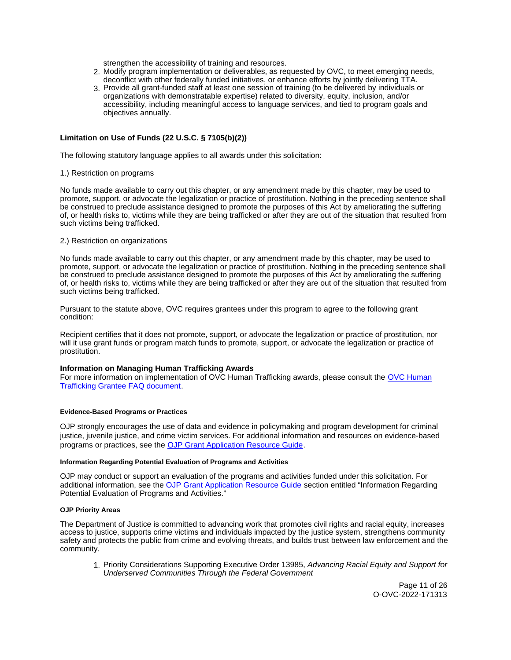strengthen the accessibility of training and resources.

- <span id="page-10-0"></span>2. Modify program implementation or deliverables, as requested by OVC, to meet emerging needs, deconflict with other federally funded initiatives, or enhance efforts by jointly delivering TTA.
- 3. Provide all grant-funded staff at least one session of training (to be delivered by individuals or organizations with demonstratable expertise) related to diversity, equity, inclusion, and/or accessibility, including meaningful access to language services, and tied to program goals and objectives annually.

## **Limitation on Use of Funds (22 U.S.C. § 7105(b)(2))**

The following statutory language applies to all awards under this solicitation:

## 1.) Restriction on programs

No funds made available to carry out this chapter, or any amendment made by this chapter, may be used to promote, support, or advocate the legalization or practice of prostitution. Nothing in the preceding sentence shall be construed to preclude assistance designed to promote the purposes of this Act by ameliorating the suffering of, or health risks to, victims while they are being trafficked or after they are out of the situation that resulted from such victims being trafficked.

## 2.) Restriction on organizations

No funds made available to carry out this chapter, or any amendment made by this chapter, may be used to promote, support, or advocate the legalization or practice of prostitution. Nothing in the preceding sentence shall be construed to preclude assistance designed to promote the purposes of this Act by ameliorating the suffering of, or health risks to, victims while they are being trafficked or after they are out of the situation that resulted from such victims being trafficked.

Pursuant to the statute above, OVC requires grantees under this program to agree to the following grant condition:

Recipient certifies that it does not promote, support, or advocate the legalization or practice of prostitution, nor will it use grant funds or program match funds to promote, support, or advocate the legalization or practice of prostitution.

## **Information on Managing Human Trafficking Awards**

For more information on implementation of OVC Human Trafficking awards, please consult the [OVC Human](https://ovc.ojp.gov/program/human-trafficking/ovc-human-trafficking-program-faqs)  [Trafficking Grantee FAQ document.](https://ovc.ojp.gov/program/human-trafficking/ovc-human-trafficking-program-faqs)

## **Evidence-Based Programs or Practices**

OJP strongly encourages the use of data and evidence in policymaking and program development for criminal justice, juvenile justice, and crime victim services. For additional information and resources on evidence-based programs or practices, see the [OJP Grant Application Resource Guide.](https://www.ojp.gov/funding/apply/ojp-grant-application-resource-guide#evidence-based)

#### **Information Regarding Potential Evaluation of Programs and Activities**

OJP may conduct or support an evaluation of the programs and activities funded under this solicitation. For additional information, see the [OJP Grant Application Resource Guide](https://www.ojp.gov/funding/apply/ojp-grant-application-resource-guide#potential-evaluation) section entitled "Information Regarding Potential Evaluation of Programs and Activities."

#### **OJP Priority Areas**

The Department of Justice is committed to advancing work that promotes civil rights and racial equity, increases access to justice, supports crime victims and individuals impacted by the justice system, strengthens community safety and protects the public from crime and evolving threats, and builds trust between law enforcement and the community.

1. Priority Considerations Supporting Executive Order 13985, Advancing Racial Equity and Support for Underserved Communities Through the Federal Government

> Page 11 of 26 O-OVC-2022-171313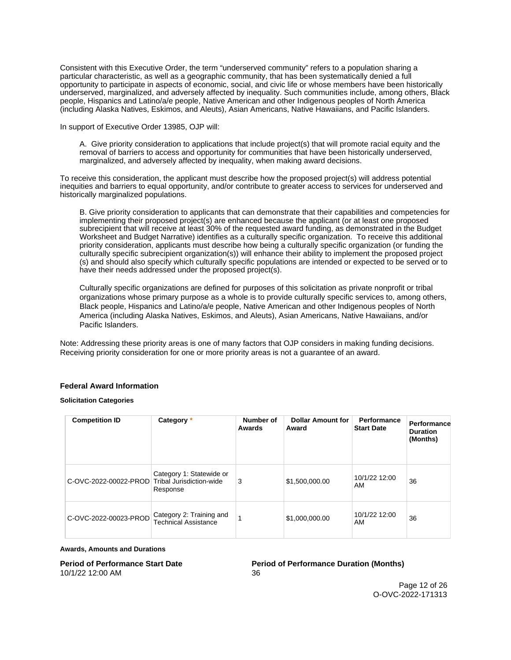<span id="page-11-0"></span>Consistent with this Executive Order, the term "underserved community" refers to a population sharing a particular characteristic, as well as a geographic community, that has been systematically denied a full opportunity to participate in aspects of economic, social, and civic life or whose members have been historically underserved, marginalized, and adversely affected by inequality. Such communities include, among others, Black people, Hispanics and Latino/a/e people, Native American and other Indigenous peoples of North America (including Alaska Natives, Eskimos, and Aleuts), Asian Americans, Native Hawaiians, and Pacific Islanders.

In support of Executive Order 13985, OJP will:

A. Give priority consideration to applications that include project(s) that will promote racial equity and the removal of barriers to access and opportunity for communities that have been historically underserved, marginalized, and adversely affected by inequality, when making award decisions.

To receive this consideration, the applicant must describe how the proposed project(s) will address potential inequities and barriers to equal opportunity, and/or contribute to greater access to services for underserved and historically marginalized populations.

B. Give priority consideration to applicants that can demonstrate that their capabilities and competencies for implementing their proposed project(s) are enhanced because the applicant (or at least one proposed subrecipient that will receive at least 30% of the requested award funding, as demonstrated in the Budget Worksheet and Budget Narrative) identifies as a culturally specific organization. To receive this additional priority consideration, applicants must describe how being a culturally specific organization (or funding the culturally specific subrecipient organization(s)) will enhance their ability to implement the proposed project (s) and should also specify which culturally specific populations are intended or expected to be served or to have their needs addressed under the proposed project(s).

Culturally specific organizations are defined for purposes of this solicitation as private nonprofit or tribal organizations whose primary purpose as a whole is to provide culturally specific services to, among others, Black people, Hispanics and Latino/a/e people, Native American and other Indigenous peoples of North America (including Alaska Natives, Eskimos, and Aleuts), Asian Americans, Native Hawaiians, and/or Pacific Islanders.

Note: Addressing these priority areas is one of many factors that OJP considers in making funding decisions. Receiving priority consideration for one or more priority areas is not a guarantee of an award.

## **Federal Award Information**

#### **Solicitation Categories**

| <b>Competition ID</b> | Category *                                                       | Number of<br>Awards | <b>Dollar Amount for</b><br>Award | <b>Performance</b><br><b>Start Date</b> | Performance<br><b>Duration</b><br>(Months) |
|-----------------------|------------------------------------------------------------------|---------------------|-----------------------------------|-----------------------------------------|--------------------------------------------|
| C-OVC-2022-00022-PROD | Category 1: Statewide or<br>Tribal Jurisdiction-wide<br>Response | 3                   | \$1,500,000.00                    | 10/1/22 12:00<br>AM                     | 36                                         |
| C-OVC-2022-00023-PROD | Category 2: Training and<br><b>Technical Assistance</b>          |                     | \$1,000,000.00                    | 10/1/22 12:00<br>AM                     | 36                                         |

#### **Awards, Amounts and Durations**

# 10/1/22 12:00 AM 36

**Period of Performance Start Date Period of Performance Duration (Months)**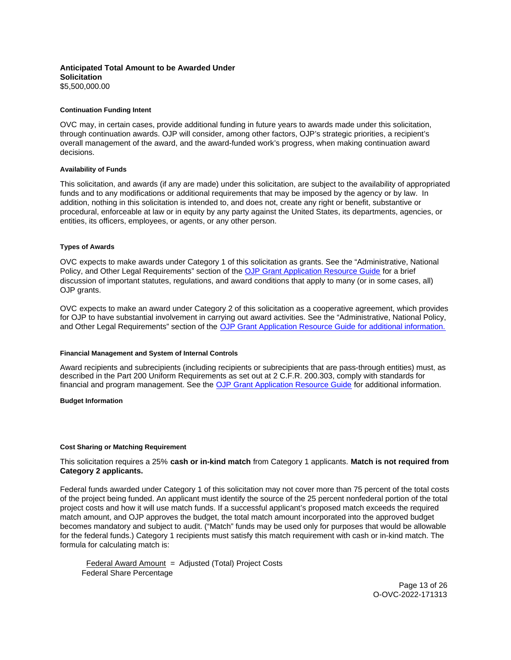## <span id="page-12-0"></span>**Anticipated Total Amount to be Awarded Under Solicitation**  [\\$5,500,000.00](https://5,500,000.00)

#### **Continuation Funding Intent**

OVC may, in certain cases, provide additional funding in future years to awards made under this solicitation, through continuation awards. OJP will consider, among other factors, OJP's strategic priorities, a recipient's overall management of the award, and the award-funded work's progress, when making continuation award decisions.

#### **Availability of Funds**

This solicitation, and awards (if any are made) under this solicitation, are subject to the availability of appropriated funds and to any modifications or additional requirements that may be imposed by the agency or by law. In addition, nothing in this solicitation is intended to, and does not, create any right or benefit, substantive or procedural, enforceable at law or in equity by any party against the United States, its departments, agencies, or entities, its officers, employees, or agents, or any other person.

#### **Types of Awards**

OVC expects to make awards under Category 1 of this solicitation as grants. See the "Administrative, National Policy, and Other Legal Requirements" section of the [OJP Grant Application Resource Guide](https://ojp.gov/funding/Apply/Resources/Grant-App-Resource-Guide.htm) for a brief discussion of important statutes, regulations, and award conditions that apply to many (or in some cases, all) OJP grants.

OVC expects to make an award under Category 2 of this solicitation as a cooperative agreement, which provides for OJP to have substantial involvement in carrying out award activities. See the "Administrative, National Policy, and Other Legal Requirements" section of the [OJP Grant Application Resource Guide](https://ojp.gov/funding/Apply/Resources/Grant-App-Resource-Guide.htm) for additional information.

#### **Financial Management and System of Internal Controls**

Award recipients and subrecipients (including recipients or subrecipients that are pass-through entities) must, as described in the Part 200 Uniform Requirements as set out at 2 C.F.R. 200.303, comply with standards for financial and program management. See the [OJP Grant Application Resource Guide](https://www.ojp.gov/funding/apply/ojp-grant-application-resource-guide#fm-internal-controls) for additional information.

**Budget Information** 

#### **Cost Sharing or Matching Requirement**

## This solicitation requires a 25% **cash or in-kind match** from Category 1 applicants. **Match is not required from Category 2 applicants.**

Federal funds awarded under Category 1 of this solicitation may not cover more than 75 percent of the total costs of the project being funded. An applicant must identify the source of the 25 percent nonfederal portion of the total project costs and how it will use match funds. If a successful applicant's proposed match exceeds the required match amount, and OJP approves the budget, the total match amount incorporated into the approved budget becomes mandatory and subject to audit. ("Match" funds may be used only for purposes that would be allowable for the federal funds.) Category 1 recipients must satisfy this match requirement with cash or in-kind match. The formula for calculating match is:

Federal Award Amount = Adjusted (Total) Project Costs Federal Share Percentage

> Page 13 of 26 O-OVC-2022-171313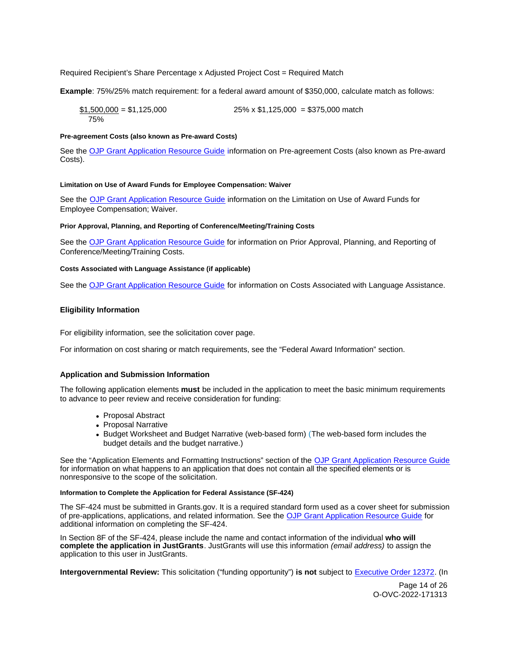## <span id="page-13-0"></span>Required Recipient's Share Percentage x Adjusted Project Cost = Required Match

**Example**: 75%/25% match requirement: for a federal award amount of \$350,000, calculate match as follows:

 $$1,500,000 = $1,125,000$   $$25\% \times $1,125,000 = $375,000$  match 75%

## **Pre-agreement Costs (also known as Pre-award Costs)**

See the [OJP Grant Application Resource Guide](https://www.ojp.gov/funding/apply/ojp-grant-application-resource-guide#pre-agreement-costs) information on Pre-agreement Costs (also known as Pre-award Costs).

#### **Limitation on Use of Award Funds for Employee Compensation: Waiver**

See the [OJP Grant Application Resource Guide](https://www.ojp.gov/funding/apply/ojp-grant-application-resource-guide#limitation-use-award) information on the Limitation on Use of Award Funds for Employee Compensation; Waiver.

#### **Prior Approval, Planning, and Reporting of Conference/Meeting/Training Costs**

See the [OJP Grant Application Resource Guide](https://www.ojp.gov/funding/apply/ojp-grant-application-resource-guide#prior-approval) for information on Prior Approval, Planning, and Reporting of Conference/Meeting/Training Costs.

#### **Costs Associated with Language Assistance (if applicable)**

See the [OJP Grant Application Resource Guide](https://www.ojp.gov/funding/apply/ojp-grant-application-resource-guide#costs-associated) for information on Costs Associated with Language Assistance.

#### **Eligibility Information**

For eligibility information, see the solicitation cover page.

For information on cost sharing or match requirements, see the "Federal Award Information" section.

#### **Application and Submission Information**

The following application elements **must** be included in the application to meet the basic minimum requirements to advance to peer review and receive consideration for funding:

- Proposal Abstract
- Proposal Narrative
- Budget Worksheet and Budget Narrative (web-based form) (The web-based form includes the budget details and the budget narrative.)

See the "Application Elements and Formatting Instructions" section of the [OJP Grant Application Resource Guide](https://ojp.gov/funding/Apply/Resources/Grant-App-Resource-Guide.htm)  for information on what happens to an application that does not contain all the specified elements or is nonresponsive to the scope of the solicitation.

#### **Information to Complete the Application for Federal Assistance (SF-424)**

The SF-424 must be submitted in [Grants.gov](https://Grants.gov). It is a required standard form used as a cover sheet for submission of pre-applications, applications, and related information. See the [OJP Grant Application Resource Guide](https://www.ojp.gov/funding/Apply/Resources/Grant-App-Resource-Guide.htm) for additional information on completing the SF-424.

In Section 8F of the SF-424, please include the name and contact information of the individual **who will complete the application in JustGrants**. JustGrants will use this information (email address) to assign the application to this user in JustGrants.

**Intergovernmental Review:** This solicitation ("funding opportunity") **is not** subject to [Executive Order 12372.](https://www.archives.gov/federal-register/codification/executive-order/12372.html) (In

Page 14 of 26 O-OVC-2022-171313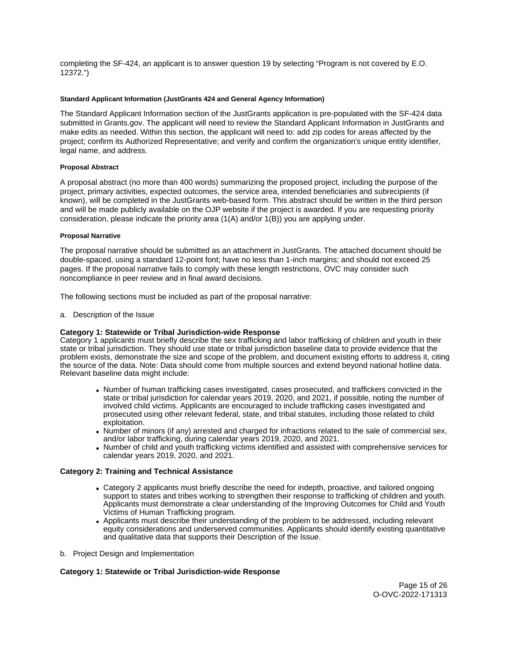<span id="page-14-0"></span>completing the SF-424, an applicant is to answer question 19 by selecting "Program is not covered by E.O. 12372.")

## **Standard Applicant Information (JustGrants 424 and General Agency Information)**

The Standard Applicant Information section of the JustGrants application is pre-populated with the SF-424 data submitted in [Grants.gov.](https://Grants.gov) The applicant will need to review the Standard Applicant Information in JustGrants and make edits as needed. Within this section, the applicant will need to: add zip codes for areas affected by the project; confirm its Authorized Representative; and verify and confirm the organization's unique entity identifier, legal name, and address.

## **Proposal Abstract**

A proposal abstract (no more than 400 words) summarizing the proposed project, including the purpose of the project, primary activities, expected outcomes, the service area, intended beneficiaries and subrecipients (if known), will be completed in the JustGrants web-based form. This abstract should be written in the third person and will be made publicly available on the OJP website if the project is awarded. If you are requesting priority consideration, please indicate the priority area (1(A) and/or 1(B)) you are applying under.

## **Proposal Narrative**

The proposal narrative should be submitted as an attachment in JustGrants. The attached document should be double-spaced, using a standard 12-point font; have no less than 1-inch margins; and should not exceed 25 pages. If the proposal narrative fails to comply with these length restrictions, OVC may consider such noncompliance in peer review and in final award decisions.

The following sections must be included as part of the proposal narrative:

a. Description of the Issue

## **Category 1: Statewide or Tribal Jurisdiction-wide Response**

Category 1 applicants must briefly describe the sex trafficking and labor trafficking of children and youth in their state or tribal jurisdiction. They should use state or tribal jurisdiction baseline data to provide evidence that the problem exists, demonstrate the size and scope of the problem, and document existing efforts to address it, citing the source of the data. Note: Data should come from multiple sources and extend beyond national hotline data. Relevant baseline data might include:

- Number of human trafficking cases investigated, cases prosecuted, and traffickers convicted in the state or tribal jurisdiction for calendar years 2019, 2020, and 2021, if possible, noting the number of involved child victims. Applicants are encouraged to include trafficking cases investigated and prosecuted using other relevant federal, state, and tribal statutes, including those related to child exploitation.
- Number of minors (if any) arrested and charged for infractions related to the sale of commercial sex, and/or labor trafficking, during calendar years 2019, 2020, and 2021.
- Number of child and youth trafficking victims identified and assisted with comprehensive services for calendar years 2019, 2020, and 2021.

## **Category 2: Training and Technical Assistance**

- Category 2 applicants must briefly describe the need for indepth, proactive, and tailored ongoing support to states and tribes working to strengthen their response to trafficking of children and youth. Applicants must demonstrate a clear understanding of the Improving Outcomes for Child and Youth Victims of Human Trafficking program.
- Applicants must describe their understanding of the problem to be addressed, including relevant equity considerations and underserved communities. Applicants should identify existing quantitative and qualitative data that supports their Description of the Issue.
- b. Project Design and Implementation

## **Category 1: Statewide or Tribal Jurisdiction-wide Response**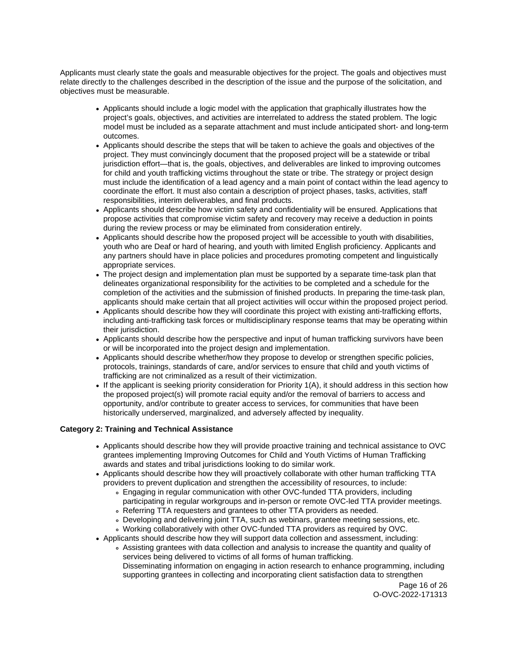Applicants must clearly state the goals and measurable objectives for the project. The goals and objectives must relate directly to the challenges described in the description of the issue and the purpose of the solicitation, and objectives must be measurable.

- Applicants should include a logic model with the application that graphically illustrates how the project's goals, objectives, and activities are interrelated to address the stated problem. The logic model must be included as a separate attachment and must include anticipated short- and long-term outcomes.
- Applicants should describe the steps that will be taken to achieve the goals and objectives of the project. They must convincingly document that the proposed project will be a statewide or tribal jurisdiction effort—that is, the goals, objectives, and deliverables are linked to improving outcomes for child and youth trafficking victims throughout the state or tribe. The strategy or project design must include the identification of a lead agency and a main point of contact within the lead agency to coordinate the effort. It must also contain a description of project phases, tasks, activities, staff responsibilities, interim deliverables, and final products.
- Applicants should describe how victim safety and confidentiality will be ensured. Applications that propose activities that compromise victim safety and recovery may receive a deduction in points during the review process or may be eliminated from consideration entirely.
- Applicants should describe how the proposed project will be accessible to youth with disabilities, youth who are Deaf or hard of hearing, and youth with limited English proficiency. Applicants and any partners should have in place policies and procedures promoting competent and linguistically appropriate services.
- The project design and implementation plan must be supported by a separate time-task plan that delineates organizational responsibility for the activities to be completed and a schedule for the completion of the activities and the submission of finished products. In preparing the time-task plan, applicants should make certain that all project activities will occur within the proposed project period.
- Applicants should describe how they will coordinate this project with existing anti-trafficking efforts, including anti-trafficking task forces or multidisciplinary response teams that may be operating within their jurisdiction.
- Applicants should describe how the perspective and input of human trafficking survivors have been or will be incorporated into the project design and implementation.
- Applicants should describe whether/how they propose to develop or strengthen specific policies, protocols, trainings, standards of care, and/or services to ensure that child and youth victims of trafficking are not criminalized as a result of their victimization.
- If the applicant is seeking priority consideration for Priority 1(A), it should address in this section how the proposed project(s) will promote racial equity and/or the removal of barriers to access and opportunity, and/or contribute to greater access to services, for communities that have been historically underserved, marginalized, and adversely affected by inequality.

## **Category 2: Training and Technical Assistance**

- Applicants should describe how they will provide proactive training and technical assistance to OVC grantees implementing Improving Outcomes for Child and Youth Victims of Human Trafficking awards and states and tribal jurisdictions looking to do similar work.
- Applicants should describe how they will proactively collaborate with other human trafficking TTA providers to prevent duplication and strengthen the accessibility of resources, to include:
	- Engaging in regular communication with other OVC-funded TTA providers, including participating in regular workgroups and in-person or remote OVC-led TTA provider meetings.
	- Referring TTA requesters and grantees to other TTA providers as needed.
	- Developing and delivering joint TTA, such as webinars, grantee meeting sessions, etc.
	- Working collaboratively with other OVC-funded TTA providers as required by OVC.
- Applicants should describe how they will support data collection and assessment, including: Assisting grantees with data collection and analysis to increase the quantity and quality of services being delivered to victims of all forms of human trafficking.

Disseminating information on engaging in action research to enhance programming, including supporting grantees in collecting and incorporating client satisfaction data to strengthen

Page 16 of 26 O-OVC-2022-171313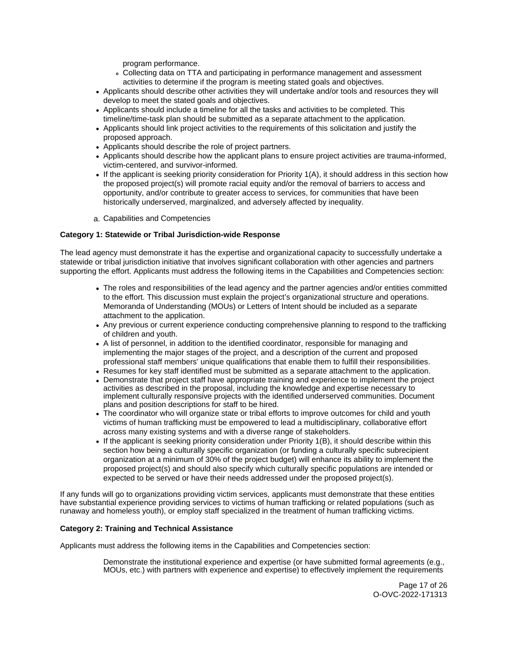program performance.

- Collecting data on TTA and participating in performance management and assessment activities to determine if the program is meeting stated goals and objectives.
- Applicants should describe other activities they will undertake and/or tools and resources they will develop to meet the stated goals and objectives.
- Applicants should include a timeline for all the tasks and activities to be completed. This timeline/time-task plan should be submitted as a separate attachment to the application.
- Applicants should link project activities to the requirements of this solicitation and justify the proposed approach.
- Applicants should describe the role of project partners.
- Applicants should describe how the applicant plans to ensure project activities are trauma-informed, victim-centered, and survivor-informed.
- If the applicant is seeking priority consideration for Priority 1(A), it should address in this section how the proposed project(s) will promote racial equity and/or the removal of barriers to access and opportunity, and/or contribute to greater access to services, for communities that have been historically underserved, marginalized, and adversely affected by inequality.
- a. Capabilities and Competencies

## **Category 1: Statewide or Tribal Jurisdiction-wide Response**

The lead agency must demonstrate it has the expertise and organizational capacity to successfully undertake a statewide or tribal jurisdiction initiative that involves significant collaboration with other agencies and partners supporting the effort. Applicants must address the following items in the Capabilities and Competencies section:

- The roles and responsibilities of the lead agency and the partner agencies and/or entities committed to the effort. This discussion must explain the project's organizational structure and operations. Memoranda of Understanding (MOUs) or Letters of Intent should be included as a separate attachment to the application.
- Any previous or current experience conducting comprehensive planning to respond to the trafficking of children and youth.
- A list of personnel, in addition to the identified coordinator, responsible for managing and implementing the major stages of the project, and a description of the current and proposed professional staff members' unique qualifications that enable them to fulfill their responsibilities.
- Resumes for key staff identified must be submitted as a separate attachment to the application.
- Demonstrate that project staff have appropriate training and experience to implement the project activities as described in the proposal, including the knowledge and expertise necessary to implement culturally responsive projects with the identified underserved communities. Document plans and position descriptions for staff to be hired.
- The coordinator who will organize state or tribal efforts to improve outcomes for child and youth victims of human trafficking must be empowered to lead a multidisciplinary, collaborative effort across many existing systems and with a diverse range of stakeholders.
- If the applicant is seeking priority consideration under Priority 1(B), it should describe within this section how being a culturally specific organization (or funding a culturally specific subrecipient organization at a minimum of 30% of the project budget) will enhance its ability to implement the proposed project(s) and should also specify which culturally specific populations are intended or expected to be served or have their needs addressed under the proposed project(s).

If any funds will go to organizations providing victim services, applicants must demonstrate that these entities have substantial experience providing services to victims of human trafficking or related populations (such as runaway and homeless youth), or employ staff specialized in the treatment of human trafficking victims.

## **Category 2: Training and Technical Assistance**

Applicants must address the following items in the Capabilities and Competencies section:

Demonstrate the institutional experience and expertise (or have submitted formal agreements (e.g., MOUs, etc.) with partners with experience and expertise) to effectively implement the requirements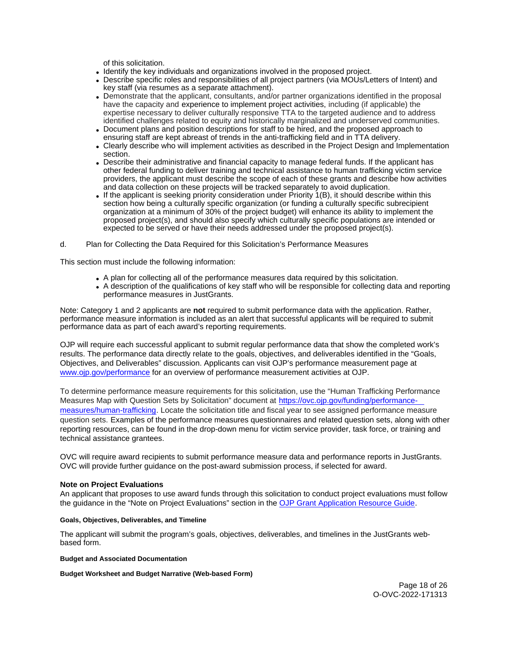of this solicitation.

- <span id="page-17-0"></span>Identify the key individuals and organizations involved in the proposed project.
- Describe specific roles and responsibilities of all project partners (via MOUs/Letters of Intent) and key staff (via resumes as a separate attachment).
- Demonstrate that the applicant, consultants, and/or partner organizations identified in the proposal have the capacity and experience to implement project activities, including (if applicable) the expertise necessary to deliver culturally responsive TTA to the targeted audience and to address identified challenges related to equity and historically marginalized and underserved communities.
- Document plans and position descriptions for staff to be hired, and the proposed approach to ensuring staff are kept abreast of trends in the anti-trafficking field and in TTA delivery.
- Clearly describe who will implement activities as described in the Project Design and Implementation section.
- Describe their administrative and financial capacity to manage federal funds. If the applicant has other federal funding to deliver training and technical assistance to human trafficking victim service providers, the applicant must describe the scope of each of these grants and describe how activities and data collection on these projects will be tracked separately to avoid duplication.
- If the applicant is seeking priority consideration under Priority  $1(B)$ , it should describe within this section how being a culturally specific organization (or funding a culturally specific subrecipient organization at a minimum of 30% of the project budget) will enhance its ability to implement the proposed project(s), and should also specify which culturally specific populations are intended or expected to be served or have their needs addressed under the proposed project(s).

d. Plan for Collecting the Data Required for this Solicitation's Performance Measures

This section must include the following information:

- A plan for collecting all of the performance measures data required by this solicitation.
- A description of the qualifications of key staff who will be responsible for collecting data and reporting performance measures in JustGrants.

Note: Category 1 and 2 applicants are **not** required to submit performance data with the application. Rather, performance measure information is included as an alert that successful applicants will be required to submit performance data as part of each award's reporting requirements.

OJP will require each successful applicant to submit regular performance data that show the completed work's results. The performance data directly relate to the goals, objectives, and deliverables identified in the "Goals, Objectives, and Deliverables" discussion. Applicants can visit OJP's performance measurement page at [www.ojp.gov/performance](https://www.ojp.gov/performance) for an overview of performance measurement activities at OJP.

To determine performance measure requirements for this solicitation, use the "Human Trafficking Performance Measures Map with Question Sets by Solicitation" document at [https://ovc.ojp.gov/funding/performance](https://ovc.ojp.gov/funding/performance-measures/human-trafficking)[measures/human-trafficking.](https://ovc.ojp.gov/funding/performance-measures/human-trafficking) Locate the solicitation title and fiscal year to see assigned performance measure question sets. Examples of the performance measures questionnaires and related question sets, along with other reporting resources, can be found in the drop-down menu for victim service provider, task force, or training and technical assistance grantees.

OVC will require award recipients to submit performance measure data and performance reports in JustGrants. OVC will provide further guidance on the post-award submission process, if selected for award.

## **Note on Project Evaluations**

An applicant that proposes to use award funds through this solicitation to conduct project evaluations must follow the guidance in the "Note on Project Evaluations" section in the [OJP Grant Application Resource Guide.](https://www.ojp.gov/funding/Apply/Resources/Grant-App-Resource-Guide.htm)

#### **Goals, Objectives, Deliverables, and Timeline**

The applicant will submit the program's goals, objectives, deliverables, and timelines in the JustGrants webbased form.

## **Budget and Associated Documentation**

#### **Budget Worksheet and Budget Narrative (Web-based Form)**

Page 18 of 26 O-OVC-2022-171313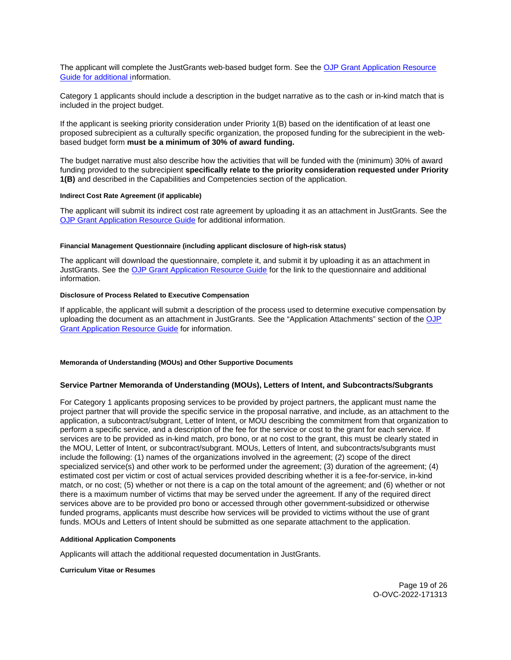<span id="page-18-0"></span>The applicant will complete the JustGrants web-based budget form. See the [OJP Grant Application Resource](https://ojp.gov/funding/Apply/Resources/Grant-App-Resource-Guide.htm)  [Guide](https://ojp.gov/funding/Apply/Resources/Grant-App-Resource-Guide.htm) for additional information.

Category 1 applicants should include a description in the budget narrative as to the cash or in-kind match that is included in the project budget.

If the applicant is seeking priority consideration under Priority 1(B) based on the identification of at least one proposed subrecipient as a culturally specific organization, the proposed funding for the subrecipient in the webbased budget form **must be a minimum of 30% of award funding.** 

The budget narrative must also describe how the activities that will be funded with the (minimum) 30% of award funding provided to the subrecipient **specifically relate to the priority consideration requested under Priority 1(B)** and described in the Capabilities and Competencies section of the application.

## **Indirect Cost Rate Agreement (if applicable)**

The applicant will submit its indirect cost rate agreement by uploading it as an attachment in JustGrants. See the [OJP Grant Application Resource Guide](https://www.ojp.gov/funding/apply/ojp-grant-application-resource-guide#indirect-cost) for additional information.

#### **Financial Management Questionnaire (including applicant disclosure of high-risk status)**

The applicant will download the questionnaire, complete it, and submit it by uploading it as an attachment in JustGrants. See the [OJP Grant Application Resource Guide](https://www.ojp.gov/funding/apply/ojp-grant-application-resource-guide#fm-internal-controls-questionnaire) for the link to the questionnaire and additional information.

## **Disclosure of Process Related to Executive Compensation**

If applicable, the applicant will submit a description of the process used to determine executive compensation by uploading the document as an attachment in JustGrants. See the "Application Attachments" section of the [OJP](https://www.ojp.gov/funding/Apply/Resources/Grant-App-Resource-Guide.htm)  [Grant Application Resource Guide](https://www.ojp.gov/funding/Apply/Resources/Grant-App-Resource-Guide.htm) for information.

## **Memoranda of Understanding (MOUs) and Other Supportive Documents**

## **Service Partner Memoranda of Understanding (MOUs), Letters of Intent, and Subcontracts/Subgrants**

For Category 1 applicants proposing services to be provided by project partners, the applicant must name the project partner that will provide the specific service in the proposal narrative, and include, as an attachment to the application, a subcontract/subgrant, Letter of Intent, or MOU describing the commitment from that organization to perform a specific service, and a description of the fee for the service or cost to the grant for each service. If services are to be provided as in-kind match, pro bono, or at no cost to the grant, this must be clearly stated in the MOU, Letter of Intent, or subcontract/subgrant. MOUs, Letters of Intent, and subcontracts/subgrants must include the following: (1) names of the organizations involved in the agreement; (2) scope of the direct specialized service(s) and other work to be performed under the agreement; (3) duration of the agreement; (4) estimated cost per victim or cost of actual services provided describing whether it is a fee-for-service, in-kind match, or no cost; (5) whether or not there is a cap on the total amount of the agreement; and (6) whether or not there is a maximum number of victims that may be served under the agreement. If any of the required direct services above are to be provided pro bono or accessed through other government-subsidized or otherwise funded programs, applicants must describe how services will be provided to victims without the use of grant funds. MOUs and Letters of Intent should be submitted as one separate attachment to the application.

#### **Additional Application Components**

Applicants will attach the additional requested documentation in JustGrants.

#### **Curriculum Vitae or Resumes**

Page 19 of 26 O-OVC-2022-171313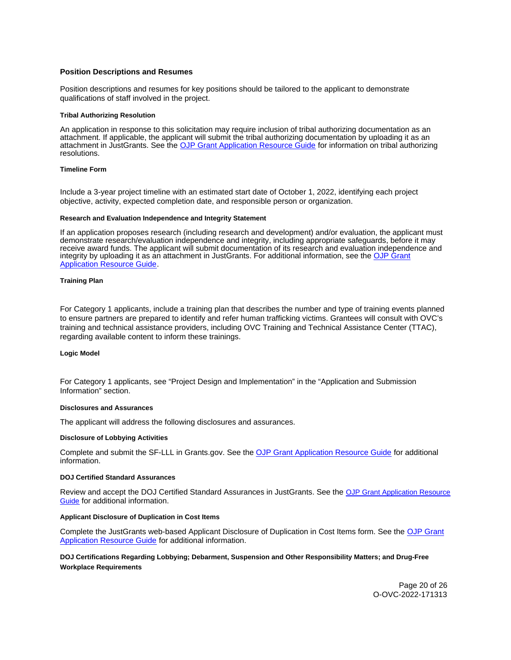## <span id="page-19-0"></span>**Position Descriptions and Resumes**

Position descriptions and resumes for key positions should be tailored to the applicant to demonstrate qualifications of staff involved in the project.

#### **Tribal Authorizing Resolution**

An application in response to this solicitation may require inclusion of tribal authorizing documentation as an attachment. If applicable, the applicant will submit the tribal authorizing documentation by uploading it as an attachment in JustGrants. See the [OJP Grant Application Resource Guide](https://www.ojp.gov/funding/apply/ojp-grant-application-resource-guide#tribal-authorizing-resolution) for information on tribal authorizing resolutions.

#### **Timeline Form**

Include a 3-year project timeline with an estimated start date of October 1, 2022, identifying each project objective, activity, expected completion date, and responsible person or organization.

#### **Research and Evaluation Independence and Integrity Statement**

If an application proposes research (including research and development) and/or evaluation, the applicant must demonstrate research/evaluation independence and integrity, including appropriate safeguards, before it may receive award funds. The applicant will submit documentation of its research and evaluation independence and integrity by uploading it as an attachment in JustGrants. For additional information, see the OJP Grant [Application Resource Guide.](https://www.ojp.gov/funding/apply/ojp-grant-application-resource-guide#research-evaluation)

#### **Training Plan**

For Category 1 applicants, include a training plan that describes the number and type of training events planned to ensure partners are prepared to identify and refer human trafficking victims. Grantees will consult with OVC's training and technical assistance providers, including OVC Training and Technical Assistance Center (TTAC), regarding available content to inform these trainings.

#### **Logic Model**

For Category 1 applicants, see "Project Design and Implementation" in the "Application and Submission Information" section.

#### **Disclosures and Assurances**

The applicant will address the following disclosures and assurances.

#### **Disclosure of Lobbying Activities**

Complete and submit the SF-LLL in [Grants.gov.](https://Grants.gov) See the [OJP Grant Application Resource Guide](https://www.ojp.gov/funding/apply/ojp-grant-application-resource-guide#disclosure-lobby) for additional information.

#### **DOJ Certified Standard Assurances**

Review and accept the DOJ Certified Standard Assurances in JustGrants. See the [OJP Grant Application Resource](https://www.ojp.gov/funding/apply/ojp-grant-application-resource-guide#administrative)  [Guide](https://www.ojp.gov/funding/apply/ojp-grant-application-resource-guide#administrative) for additional information.

#### **Applicant Disclosure of Duplication in Cost Items**

Complete the JustGrants web-based Applicant Disclosure of Duplication in Cost Items form. See the [OJP Grant](https://www.ojp.gov/funding/apply/ojp-grant-application-resource-guide#applicant-disclosure-pending-applications)  [Application Resource Guide](https://www.ojp.gov/funding/apply/ojp-grant-application-resource-guide#applicant-disclosure-pending-applications) for additional information.

## **DOJ Certifications Regarding Lobbying; Debarment, Suspension and Other Responsibility Matters; and Drug-Free Workplace Requirements**

Page 20 of 26 O-OVC-2022-171313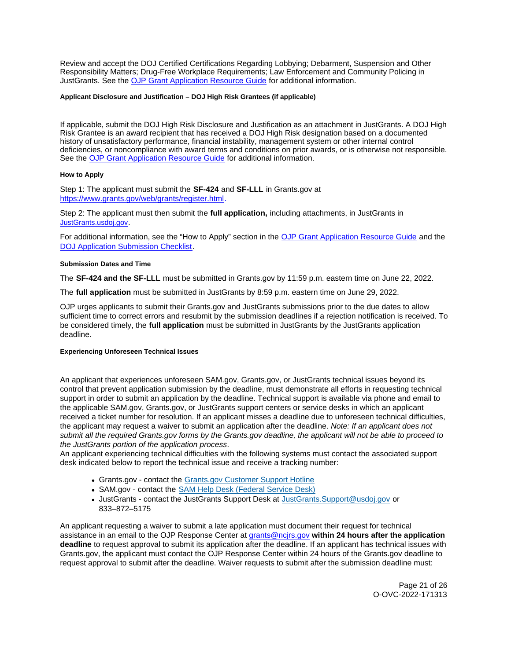<span id="page-20-0"></span>Review and accept the DOJ Certified Certifications Regarding Lobbying; Debarment, Suspension and Other Responsibility Matters; Drug-Free Workplace Requirements; Law Enforcement and Community Policing in JustGrants. See the [OJP Grant Application Resource Guide](https://www.ojp.gov/funding/apply/ojp-grant-application-resource-guide#administrative) for additional information.

## **Applicant Disclosure and Justification – DOJ High Risk Grantees (if applicable)**

If applicable, submit the DOJ High Risk Disclosure and Justification as an attachment in JustGrants. A DOJ High Risk Grantee is an award recipient that has received a DOJ High Risk designation based on a documented history of unsatisfactory performance, financial instability, management system or other internal control deficiencies, or noncompliance with award terms and conditions on prior awards, or is otherwise not responsible. See the [OJP Grant Application Resource Guide](https://www.ojp.gov/funding/apply/ojp-grant-application-resource-guide) for additional information.

## **How to Apply**

Step 1: The applicant must submit the **SF-424** and **SF-LLL** in [Grants.gov](https://Grants.gov) at [https://www.grants.gov/web/grants/register.html.](https://www.grants.gov/web/grants/register.html)

Step 2: The applicant must then submit the **full application,** including attachments, in JustGrants in [JustGrants.usdoj.gov.](https://justicegrants.usdoj.gov/)

For additional information, see the "How to Apply" section in the [OJP Grant Application Resource Guide](https://www.ojp.gov/funding/apply/ojp-grant-application-resource-guide#apply) and the [DOJ Application Submission Checklist.](https://justicegrants.usdoj.gov/sites/g/files/xyckuh296/files/media/document/appln-submission-checklist.pdf)

## **Submission Dates and Time**

The **SF-424 and the SF-LLL** must be submitted in [Grants.gov](https://Grants.gov) by 11:59 p.m. eastern time on June 22, 2022.

The **full application** must be submitted in JustGrants by 8:59 p.m. eastern time on June 29, 2022.

OJP urges applicants to submit their [Grants.gov](https://Grants.gov) and JustGrants submissions prior to the due dates to allow sufficient time to correct errors and resubmit by the submission deadlines if a rejection notification is received. To be considered timely, the **full application** must be submitted in JustGrants by the JustGrants application deadline.

## **Experiencing Unforeseen Technical Issues**

An applicant that experiences unforeseen SAM.gov, [Grants.gov,](https://Grants.gov) or JustGrants technical issues beyond its control that prevent application submission by the deadline, must demonstrate all efforts in requesting technical support in order to submit an application by the deadline. Technical support is available via phone and email to the applicable SAM.gov, [Grants.gov,](https://Grants.gov) or JustGrants support centers or service desks in which an applicant received a ticket number for resolution. If an applicant misses a deadline due to unforeseen technical difficulties, the applicant may request a waiver to submit an application after the deadline. Note: If an applicant does not submit all the required [Grants.gov](https://Grants.gov) forms by the [Grants.gov](https://Grants.gov) deadline, the applicant will not be able to proceed to the JustGrants portion of the application process.

An applicant experiencing technical difficulties with the following systems must contact the associated support desk indicated below to report the technical issue and receive a tracking number:

- [Grants.gov](https://Grants.gov) contact the [Grants.gov Customer Support Hotline](https://www.grants.gov/web/grants/support.html)
- SAM.gov contact the SAM Help Desk (Federal Service Desk)
- JustGrants contact the JustGrants Support Desk at [JustGrants.Support@usdoj.gov](mailto:JustGrants.Support@usdoj.gov) or 833–872–5175

An applicant requesting a waiver to submit a late application must document their request for technical assistance in an email to the OJP Response Center at [grants@ncjrs.gov](mailto:grants@ncjrs.gov) **within 24 hours after the application deadline** to request approval to submit its application after the deadline. If an applicant has technical issues with [Grants.gov,](https://Grants.gov) the applicant must contact the OJP Response Center within 24 hours of the [Grants.gov](https://Grants.gov) deadline to request approval to submit after the deadline. Waiver requests to submit after the submission deadline must: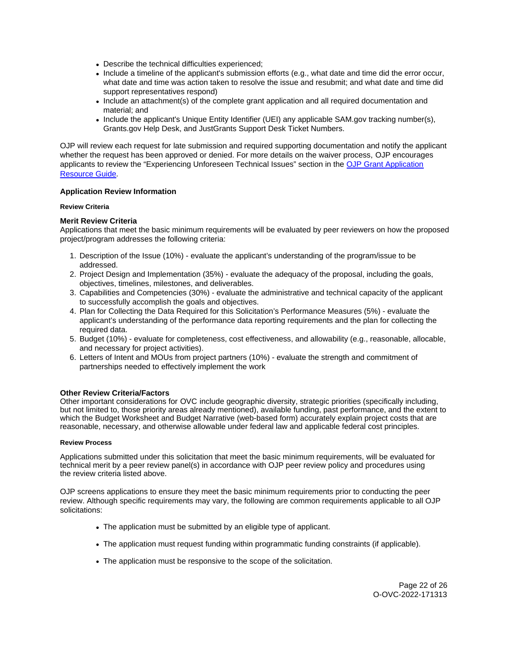- <span id="page-21-0"></span>Describe the technical difficulties experienced;
- Include a timeline of the applicant's submission efforts (e.g., what date and time did the error occur, what date and time was action taken to resolve the issue and resubmit; and what date and time did support representatives respond)
- Include an attachment(s) of the complete grant application and all required documentation and material; and
- Include the applicant's Unique Entity Identifier (UEI) any applicable SAM.gov tracking number(s), [Grants.gov](https://Grants.gov) Help Desk, and JustGrants Support Desk Ticket Numbers.

OJP will review each request for late submission and required supporting documentation and notify the applicant whether the request has been approved or denied. For more details on the waiver process, OJP encourages applicants to review the "Experiencing Unforeseen Technical Issues" section in the [OJP Grant Application](https://www.ojp.gov/funding/apply/ojp-grant-application-resource-guide#experiencing-unforeseen-technical-issues)  [Resource Guide](https://www.ojp.gov/funding/apply/ojp-grant-application-resource-guide#experiencing-unforeseen-technical-issues).

## **Application Review Information**

## **Review Criteria**

## **Merit Review Criteria**

Applications that meet the basic minimum requirements will be evaluated by peer reviewers on how the proposed project/program addresses the following criteria:

- 1. Description of the Issue (10%) evaluate the applicant's understanding of the program/issue to be addressed.
- 2. Project Design and Implementation (35%) evaluate the adequacy of the proposal, including the goals, objectives, timelines, milestones, and deliverables.
- 3. Capabilities and Competencies (30%) evaluate the administrative and technical capacity of the applicant to successfully accomplish the goals and objectives.
- 4. Plan for Collecting the Data Required for this Solicitation's Performance Measures (5%) evaluate the applicant's understanding of the performance data reporting requirements and the plan for collecting the required data.
- 5. Budget (10%) evaluate for completeness, cost effectiveness, and allowability (e.g., reasonable, allocable, and necessary for project activities).
- 6. Letters of Intent and MOUs from project partners (10%) evaluate the strength and commitment of partnerships needed to effectively implement the work

## **Other Review Criteria/Factors**

Other important considerations for OVC include geographic diversity, strategic priorities (specifically including, but not limited to, those priority areas already mentioned), available funding, past performance, and the extent to which the Budget Worksheet and Budget Narrative (web-based form) accurately explain project costs that are reasonable, necessary, and otherwise allowable under federal law and applicable federal cost principles.

#### **Review Process**

Applications submitted under this solicitation that meet the basic minimum requirements, will be evaluated for technical merit by a peer review panel(s) in accordance with OJP peer review policy and procedures using the review criteria listed above.

OJP screens applications to ensure they meet the basic minimum requirements prior to conducting the peer review. Although specific requirements may vary, the following are common requirements applicable to all OJP solicitations:

- The application must be submitted by an eligible type of applicant.
- The application must request funding within programmatic funding constraints (if applicable).
- The application must be responsive to the scope of the solicitation.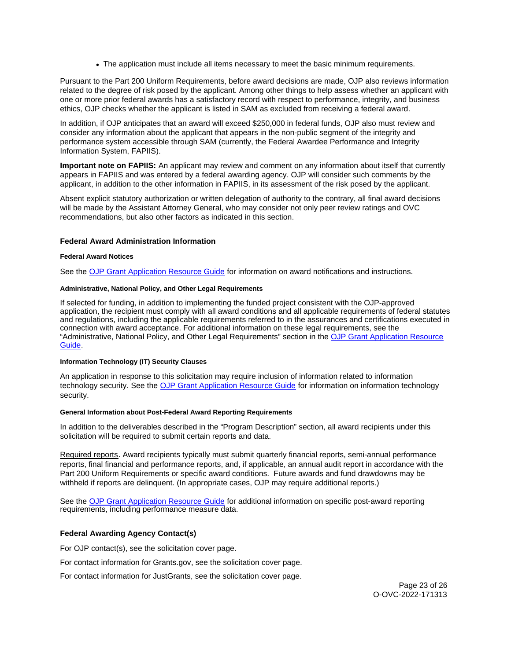• The application must include all items necessary to meet the basic minimum requirements.

<span id="page-22-0"></span>Pursuant to the Part 200 Uniform Requirements, before award decisions are made, OJP also reviews information related to the degree of risk posed by the applicant. Among other things to help assess whether an applicant with one or more prior federal awards has a satisfactory record with respect to performance, integrity, and business ethics, OJP checks whether the applicant is listed in SAM as excluded from receiving a federal award.

In addition, if OJP anticipates that an award will exceed \$250,000 in federal funds, OJP also must review and consider any information about the applicant that appears in the non-public segment of the integrity and performance system accessible through SAM (currently, the Federal Awardee Performance and Integrity Information System, FAPIIS).

**Important note on FAPIIS:** An applicant may review and comment on any information about itself that currently appears in FAPIIS and was entered by a federal awarding agency. OJP will consider such comments by the applicant, in addition to the other information in FAPIIS, in its assessment of the risk posed by the applicant.

Absent explicit statutory authorization or written delegation of authority to the contrary, all final award decisions will be made by the Assistant Attorney General, who may consider not only peer review ratings and OVC recommendations, but also other factors as indicated in this section.

## **Federal Award Administration Information**

#### **Federal Award Notices**

See the [OJP Grant Application Resource Guide](https://www.ojp.gov/funding/apply/ojp-grant-application-resource-guide#federal-award-notices) for information on award notifications and instructions.

## **Administrative, National Policy, and Other Legal Requirements**

If selected for funding, in addition to implementing the funded project consistent with the OJP-approved application, the recipient must comply with all award conditions and all applicable requirements of federal statutes and regulations, including the applicable requirements referred to in the assurances and certifications executed in connection with award acceptance. For additional information on these legal requirements, see the "Administrative, National Policy, and Other Legal Requirements" section in the [OJP Grant Application Resource](https://www.ojp.gov/funding/apply/ojp-grant-application-resource-guide#administrative)  [Guide.](https://www.ojp.gov/funding/apply/ojp-grant-application-resource-guide#administrative)

## **Information Technology (IT) Security Clauses**

An application in response to this solicitation may require inclusion of information related to information technology security. See the [OJP Grant Application Resource Guide](https://www.ojp.gov/funding/apply/ojp-grant-application-resource-guide#information-technology) for information on information technology security.

#### **General Information about Post-Federal Award Reporting Requirements**

In addition to the deliverables described in the "Program Description" section, all award recipients under this solicitation will be required to submit certain reports and data.

Required reports. Award recipients typically must submit quarterly financial reports, semi-annual performance reports, final financial and performance reports, and, if applicable, an annual audit report in accordance with the Part 200 Uniform Requirements or specific award conditions. Future awards and fund drawdowns may be withheld if reports are delinquent. (In appropriate cases, OJP may require additional reports.)

See the [OJP Grant Application Resource Guide](https://www.ojp.gov/funding/Apply/Resources/Grant-App-Resource-Guide.htm) for additional information on specific post-award reporting requirements, including performance measure data.

## **Federal Awarding Agency Contact(s)**

For OJP contact(s), see the solicitation cover page.

For contact information for [Grants.gov](https://Grants.gov), see the solicitation cover page.

For contact information for JustGrants, see the solicitation cover page.

Page 23 of 26 O-OVC-2022-171313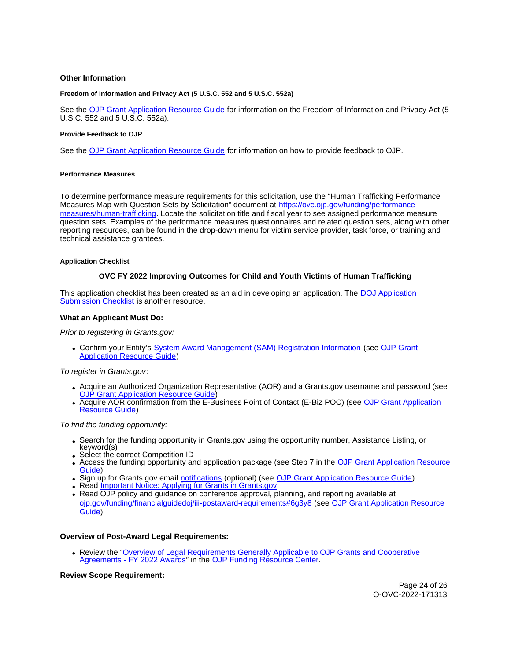## <span id="page-23-0"></span>**Other Information**

#### **Freedom of Information and Privacy Act (5 U.S.C. 552 and 5 U.S.C. 552a)**

See the [OJP Grant Application Resource Guide](https://www.ojp.gov/funding/apply/ojp-grant-application-resource-guide#foia) for information on the Freedom of Information and Privacy Act (5 U.S.C. 552 and 5 U.S.C. 552a).

#### **Provide Feedback to OJP**

See the [OJP Grant Application Resource Guide](https://www.ojp.gov/funding/apply/ojp-grant-application-resource-guide#feedback) for information on how to provide feedback to OJP.

#### **Performance Measures**

To determine performance measure requirements for this solicitation, use the "Human Trafficking Performance Measures Map with Question Sets by Solicitation" document at [https://ovc.ojp.gov/funding/performance](https://ovc.ojp.gov/funding/performance-measures/human-trafficking)[measures/human-trafficking.](https://ovc.ojp.gov/funding/performance-measures/human-trafficking) Locate the solicitation title and fiscal year to see assigned performance measure question sets. Examples of the performance measures questionnaires and related question sets, along with other reporting resources, can be found in the drop-down menu for victim service provider, task force, or training and technical assistance grantees.

#### **Application Checklist**

#### **OVC FY 2022 Improving Outcomes for Child and Youth Victims of Human Trafficking**

This application checklist has been created as an aid in developing an application. The DOJ Application [Submission Checklist](https://justicegrants.usdoj.gov/sites/g/files/xyckuh296/files/media/document/appln-submission-checklist.pdf) is another resource.

#### **What an Applicant Must Do:**

Prior to registering in [Grants.gov](https://Grants.gov):

Confirm your Entity's [System Award Management \(SAM\)](https://sam.gov/SAM/) Registration Information (see [OJP Grant](https://www.ojp.gov/funding/apply/ojp-grant-application-resource-guide#apply)  [Application Resource Guide\)](https://www.ojp.gov/funding/apply/ojp-grant-application-resource-guide#apply)

To register in [Grants.gov](https://Grants.gov):

- Acquire an Authorized Organization Representative (AOR) and a [Grants.gov](https://Grants.gov) username and password (see [OJP Grant Application Resource Guide\)](https://www.ojp.gov/funding/apply/ojp-grant-application-resource-guide#apply)
- Acquire AOR confirmation from the E-Business Point of Contact (E-Biz POC) (see OJP Grant Application [Resource Guide\)](https://www.ojp.gov/funding/apply/ojp-grant-application-resource-guide#apply)

To find the funding opportunity:

- Search for the funding opportunity in [Grants.gov](https://Grants.gov) using the opportunity number, Assistance Listing, or keyword(s)
- Select the correct Competition ID
- Access the funding opportunity and application package (see Step 7 in the [OJP Grant Application Resource](https://www.ojp.gov/funding/apply/ojp-grant-application-resource-guide#apply)  [Guide\)](https://www.ojp.gov/funding/apply/ojp-grant-application-resource-guide#apply)
- Sign up for [Grants.gov](https://Grants.gov) email [notifications](https://www.grants.gov/web/grants/manage-subscriptions.html) (optional) (see [OJP Grant Application Resource Guide\)](https://www.ojp.gov/funding/apply/ojp-grant-application-resource-guide#apply)
- Read Important Notice: Applying for Grants in Grants.gov
- Read OJP policy and guidance on conference approval, planning, and reporting available at [ojp.gov/funding/financialguidedoj/iii-postaward-requirements#6g3y8](https://www.ojp.gov/funding/financialguidedoj/iii-postaward-requirements#6g3y8) (see [OJP Grant Application Resource](https://www.ojp.gov/funding/apply/ojp-grant-application-resource-guide#prior-approval)  [Guide\)](https://www.ojp.gov/funding/apply/ojp-grant-application-resource-guide#prior-approval)

## **Overview of Post-Award Legal Requirements:**

• Review the "Overview of Legal Requirements Generally Applicable to OJP Grants and Cooperative [Agreements - FY 2022 Awards"](https://www.ojp.gov/funding/explore/legal-overview-awards) in the [OJP Funding Resource Center.](https://www.ojp.gov/funding/explore/legal-overview-awards)

**Review Scope Requirement:** 

Page 24 of 26 O-OVC-2022-171313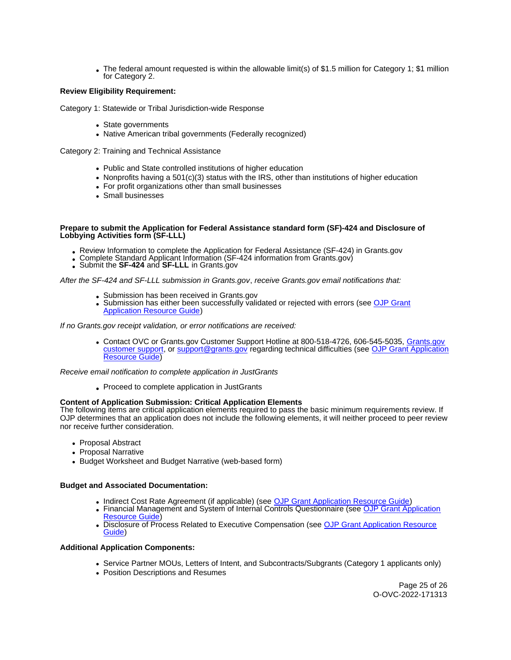The federal amount requested is within the allowable limit(s) of \$1.5 million for Category 1; \$1 million for Category 2.

## **Review Eligibility Requirement:**

Category 1: Statewide or Tribal Jurisdiction-wide Response

- State governments
- Native American tribal governments (Federally recognized)

Category 2: Training and Technical Assistance

- Public and State controlled institutions of higher education
- Nonprofits having a 501(c)(3) status with the IRS, other than institutions of higher education
- For profit organizations other than small businesses
- Small businesses

#### **Prepare to submit the Application for Federal Assistance standard form (SF)-424 and Disclosure of Lobbying Activities form (SF-LLL)**

- Review Information to complete the Application for Federal Assistance (SF-424) in [Grants.gov](https://Grants.gov)<br>• Complete Standard Applicant Information (SF-424 information from Grants.gov)<br>• Submit the SF-424 and SF-LLL in Grants.gov
- 
- 

After the SF-424 and SF-LLL submission in [Grants.gov](https://Grants.gov), receive [Grants.gov](https://Grants.gov) email notifications that:

- Submission has been received in Grants.gov
- Submission has either been successfully validated or rejected with errors (see OJP Grant **[Application Resource Guide\)](https://ojp.gov/funding/Apply/Resources/Grant-App-Resource-Guide.htm)**

If no [Grants.gov](https://Grants.gov) receipt validation, or error notifications are received:

• Contact OVC or [Grants.gov](https://Grants.gov) Customer Support Hotline at 800-518-4726, 606-545-5035, Grants.gov [customer support,](https://www.grants.gov/web/grants/support.html) or [support@grants.gov](mailto:support@grants.gov) regarding technical difficulties (see [OJP Grant Application](https://www.ojp.gov/funding/apply/ojp-grant-application-resource-guide#apply)  [Resource Guide\)](https://www.ojp.gov/funding/apply/ojp-grant-application-resource-guide#apply)

Receive email notification to complete application in JustGrants

Proceed to complete application in JustGrants

## **Content of Application Submission: Critical Application Elements**

The following items are critical application elements required to pass the basic minimum requirements review. If OJP determines that an application does not include the following elements, it will neither proceed to peer review nor receive further consideration.

- Proposal Abstract
- Proposal Narrative
- Budget Worksheet and Budget Narrative (web-based form)

## **Budget and Associated Documentation:**

- Indirect Cost Rate Agreement (if applicable) (see [OJP Grant Application Resource Guide\)](https://ojp.gov/funding/Apply/Resources/Grant-App-Resource-Guide.htm)
- Financial Management and System of Internal Controls Questionnaire (see OJP Grant Application [Resource Guide\)](https://ojp.gov/funding/Apply/Resources/Grant-App-Resource-Guide.htm)
- Disclosure of Process Related to Executive Compensation (see [OJP Grant Application Resource](https://ojp.gov/funding/Apply/Resources/Grant-App-Resource-Guide.htm)  [Guide\)](https://ojp.gov/funding/Apply/Resources/Grant-App-Resource-Guide.htm)

#### **Additional Application Components:**

- Service Partner MOUs, Letters of Intent, and Subcontracts/Subgrants (Category 1 applicants only)
- Position Descriptions and Resumes